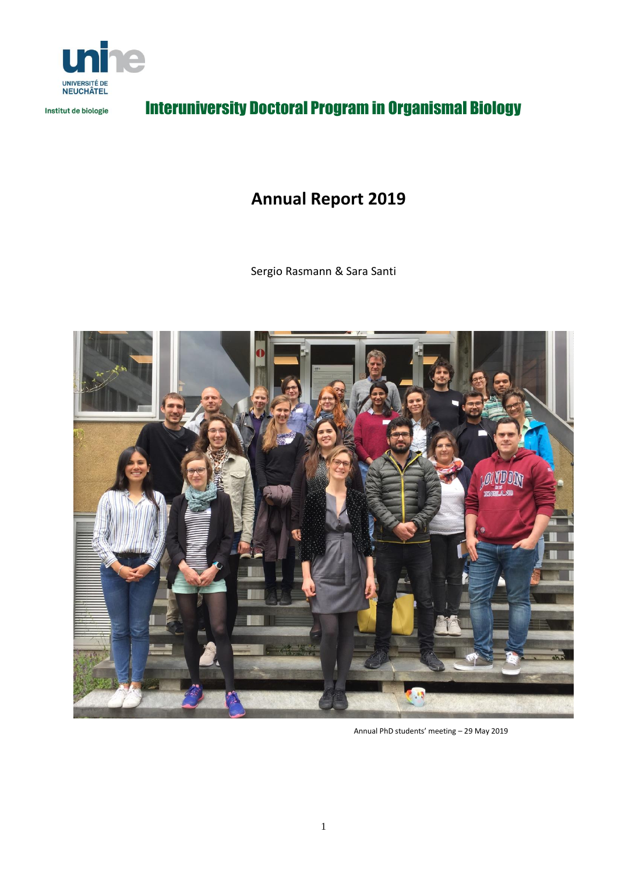

Institut de biologie

# Interuniversity Doctoral Program in Organismal Biology

# **Annual Report 2019**

Sergio Rasmann & Sara Santi



Annual PhD students' meeting – 29 May 2019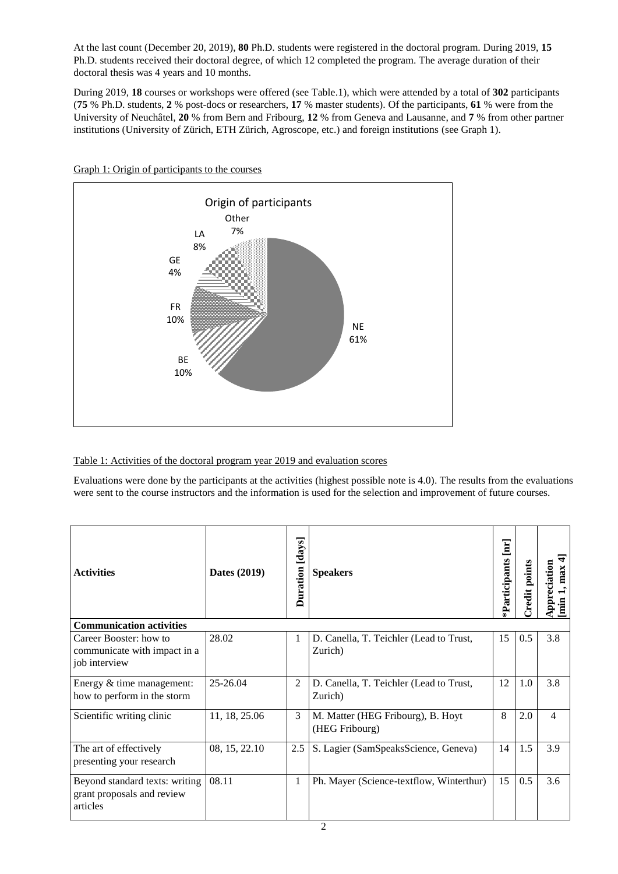At the last count (December 20, 2019), **80** Ph.D. students were registered in the doctoral program. During 2019, **15** Ph.D. students received their doctoral degree, of which 12 completed the program. The average duration of their doctoral thesis was 4 years and 10 months.

During 2019, **18** courses or workshops were offered (see Table.1), which were attended by a total of **302** participants (**75** % Ph.D. students, **2** % post-docs or researchers, **17** % master students). Of the participants, **61** % were from the University of Neuchâtel, **20** % from Bern and Fribourg, **12** % from Geneva and Lausanne, and **7** % from other partner institutions (University of Zürich, ETH Zürich, Agroscope, etc.) and foreign institutions (see Graph 1).



Graph 1: Origin of participants to the courses

#### Table 1: Activities of the doctoral program year 2019 and evaluation scores

Evaluations were done by the participants at the activities (highest possible note is 4.0). The results from the evaluations were sent to the course instructors and the information is used for the selection and improvement of future courses.

| <b>Activities</b>                                                        | Dates (2019)  | Duration [days] | <b>Speakers</b>                                     | $\mathbf{H}$<br>*Participants | Credit points | ₩<br>Appreciation<br>, max<br>$\lim$ |
|--------------------------------------------------------------------------|---------------|-----------------|-----------------------------------------------------|-------------------------------|---------------|--------------------------------------|
| <b>Communication activities</b>                                          |               |                 |                                                     |                               |               |                                      |
| Career Booster: how to<br>communicate with impact in a<br>job interview  | 28.02         | 1               | D. Canella, T. Teichler (Lead to Trust,<br>Zurich)  | 15                            | 0.5           | 3.8                                  |
| Energy & time management:<br>how to perform in the storm                 | 25-26.04      | 2               | D. Canella, T. Teichler (Lead to Trust,<br>Zurich)  | 12                            | 1.0           | 3.8                                  |
| Scientific writing clinic                                                | 11, 18, 25.06 | 3               | M. Matter (HEG Fribourg), B. Hoyt<br>(HEG Fribourg) | 8                             | 2.0           | $\overline{4}$                       |
| The art of effectively<br>presenting your research                       | 08, 15, 22.10 | 2.5             | S. Lagier (SamSpeaksScience, Geneva)                | 14                            | 1.5           | 3.9                                  |
| Beyond standard texts: writing<br>grant proposals and review<br>articles | 08.11         | 1               | Ph. Mayer (Science-textflow, Winterthur)            | 15                            | 0.5           | 3.6                                  |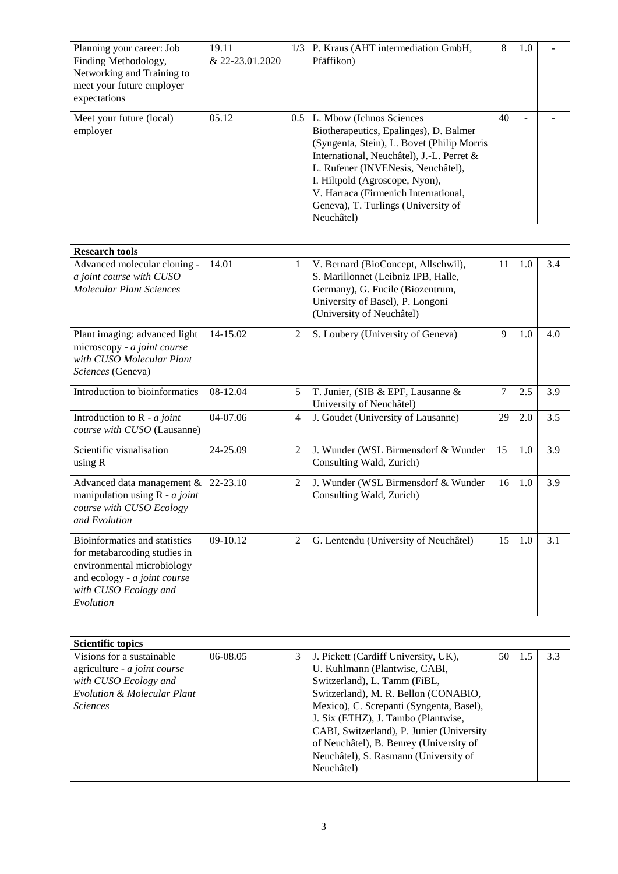| Planning your career: Job<br>Finding Methodology,<br>Networking and Training to<br>meet your future employer<br>expectations | 19.11<br>$& 22 - 23.01.2020$ | 1/3           | P. Kraus (AHT intermediation GmbH,<br>Pfäffikon)                                                                                                                                                                                                                                                                                    | 8  | 1.0 |  |
|------------------------------------------------------------------------------------------------------------------------------|------------------------------|---------------|-------------------------------------------------------------------------------------------------------------------------------------------------------------------------------------------------------------------------------------------------------------------------------------------------------------------------------------|----|-----|--|
| Meet your future (local)<br>employer                                                                                         | 05.12                        | $0.5^{\circ}$ | L. Mbow (Ichnos Sciences<br>Biotherapeutics, Epalinges), D. Balmer<br>(Syngenta, Stein), L. Bovet (Philip Morris)<br>International, Neuchâtel), J.-L. Perret &<br>L. Rufener (INVENesis, Neuchâtel),<br>I. Hiltpold (Agroscope, Nyon),<br>V. Harraca (Firmenich International,<br>Geneva), T. Turlings (University of<br>Neuchâtel) | 40 |     |  |

| <b>Research tools</b>                                                                                                                                             |          |                |                                                                                                                                                                                 |                |     |     |
|-------------------------------------------------------------------------------------------------------------------------------------------------------------------|----------|----------------|---------------------------------------------------------------------------------------------------------------------------------------------------------------------------------|----------------|-----|-----|
| Advanced molecular cloning -<br>a joint course with CUSO<br>Molecular Plant Sciences                                                                              | 14.01    | 1              | V. Bernard (BioConcept, Allschwil),<br>S. Marillonnet (Leibniz IPB, Halle,<br>Germany), G. Fucile (Biozentrum,<br>University of Basel), P. Longoni<br>(University of Neuchâtel) | 11             | 1.0 | 3.4 |
| Plant imaging: advanced light<br>microscopy - a joint course<br>with CUSO Molecular Plant<br>Sciences (Geneva)                                                    | 14-15.02 | $\overline{c}$ | S. Loubery (University of Geneva)                                                                                                                                               | 9              | 1.0 | 4.0 |
| Introduction to bioinformatics                                                                                                                                    | 08-12.04 | 5              | T. Junier, (SIB & EPF, Lausanne &<br>University of Neuchâtel)                                                                                                                   | $\overline{7}$ | 2.5 | 3.9 |
| Introduction to $R - a$ joint<br>course with CUSO (Lausanne)                                                                                                      | 04-07.06 | $\overline{4}$ | J. Goudet (University of Lausanne)                                                                                                                                              | 29             | 2.0 | 3.5 |
| Scientific visualisation<br>using R                                                                                                                               | 24-25.09 | 2              | J. Wunder (WSL Birmensdorf & Wunder<br>Consulting Wald, Zurich)                                                                                                                 | 15             | 1.0 | 3.9 |
| Advanced data management &<br>manipulation using $R - a$ joint<br>course with CUSO Ecology<br>and Evolution                                                       | 22-23.10 | $\overline{2}$ | J. Wunder (WSL Birmensdorf & Wunder<br>Consulting Wald, Zurich)                                                                                                                 | 16             | 1.0 | 3.9 |
| Bioinformatics and statistics<br>for metabarcoding studies in<br>environmental microbiology<br>and ecology - a joint course<br>with CUSO Ecology and<br>Evolution | 09-10.12 | $\overline{2}$ | G. Lentendu (University of Neuchâtel)                                                                                                                                           | 15             | 1.0 | 3.1 |

| Scientific topics                      |          |   |                                           |    |     |     |
|----------------------------------------|----------|---|-------------------------------------------|----|-----|-----|
| Visions for a sustainable              | 06-08.05 | 3 | J. Pickett (Cardiff University, UK),      | 50 | 1.5 | 3.3 |
| agriculture - a joint course           |          |   | U. Kuhlmann (Plantwise, CABI,             |    |     |     |
| with CUSO Ecology and                  |          |   | Switzerland), L. Tamm (FiBL,              |    |     |     |
| <b>Evolution &amp; Molecular Plant</b> |          |   | Switzerland), M. R. Bellon (CONABIO,      |    |     |     |
| <i>Sciences</i>                        |          |   | Mexico), C. Screpanti (Syngenta, Basel),  |    |     |     |
|                                        |          |   | J. Six (ETHZ), J. Tambo (Plantwise,       |    |     |     |
|                                        |          |   | CABI, Switzerland), P. Junier (University |    |     |     |
|                                        |          |   | of Neuchâtel), B. Benrey (University of   |    |     |     |
|                                        |          |   | Neuchâtel), S. Rasmann (University of     |    |     |     |
|                                        |          |   | Neuchâtel)                                |    |     |     |
|                                        |          |   |                                           |    |     |     |